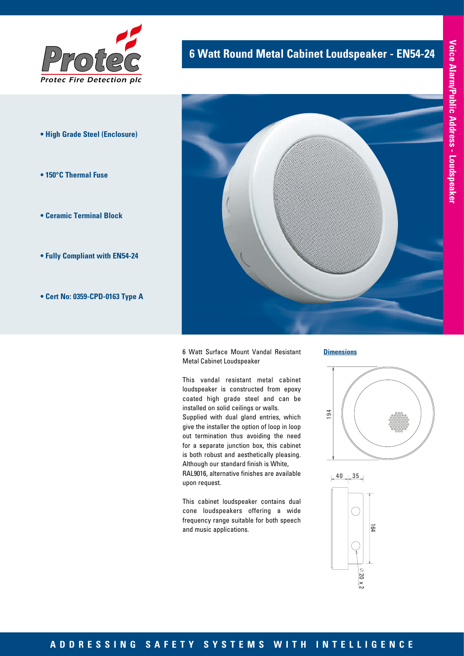

- **High Grade Steel (Enclosure)**
- **150°C Thermal Fuse**
- **Ceramic Terminal Block**
- **Fully Compliant with EN54-24**
- **Cert No: 0359-CPD-0163 Type A**

# **6 Watt Round Metal Cabinet Loudspeaker - EN54-24**



6 Watt Surface Mount Vandal Resistant Metal Cabinet Loudspeaker

This vandal resistant metal cabinet loudspeaker is constructed from epoxy coated high grade steel and can be installed on solid ceilings or walls. Supplied with dual gland entries, which give the installer the option of loop in loop out termination thus avoiding the need for a separate junction box, this cabinet is both robust and aesthetically pleasing. Although our standard finish is White, RAL9016, alternative finishes are available upon request.

This cabinet loudspeaker contains dual cone loudspeakers offering a wide frequency range suitable for both speech nequency range sanab<br>and music applications.

#### **Dimensions**